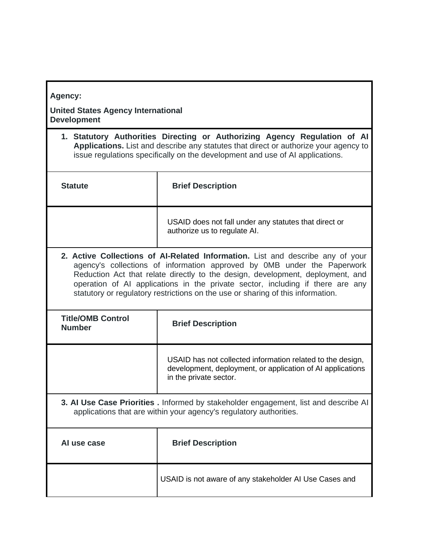| <b>Agency:</b> |  |  |
|----------------|--|--|
|                |  |  |
|                |  |  |
|                |  |  |

## **United States Agency International Development**

**1. Statutory Authorities Directing or Authorizing Agency Regulation of AI Applications.** List and describe any statutes that direct or authorize your agency to issue regulations specifically on the development and use of AI applications.

| <b>Statute</b>                                                                                                                                                                                                                              | <b>Brief Description</b>                                                              |
|---------------------------------------------------------------------------------------------------------------------------------------------------------------------------------------------------------------------------------------------|---------------------------------------------------------------------------------------|
|                                                                                                                                                                                                                                             | USAID does not fall under any statutes that direct or<br>authorize us to regulate AI. |
| 2. Active Collections of AI-Related Information. List and describe any of your<br>agency's collections of information approved by OMB under the Paperwork<br>Reduction Act that relate directly to the design, development, deployment, and |                                                                                       |

| agency's collections of information approved by OMB under the Paperwork         |  |  |
|---------------------------------------------------------------------------------|--|--|
| Reduction Act that relate directly to the design, development, deployment, and  |  |  |
| operation of AI applications in the private sector, including if there are any  |  |  |
| statutory or regulatory restrictions on the use or sharing of this information. |  |  |

| <b>Title/OMB Control</b><br><b>Number</b>                                                                                                                  | <b>Brief Description</b>                                                                                                                           |
|------------------------------------------------------------------------------------------------------------------------------------------------------------|----------------------------------------------------------------------------------------------------------------------------------------------------|
|                                                                                                                                                            |                                                                                                                                                    |
|                                                                                                                                                            | USAID has not collected information related to the design,<br>development, deployment, or application of AI applications<br>in the private sector. |
| 3. Al Use Case Priorities . Informed by stakeholder engagement, list and describe Al<br>applications that are within your agency's regulatory authorities. |                                                                                                                                                    |
| Al use case                                                                                                                                                | <b>Brief Description</b>                                                                                                                           |
|                                                                                                                                                            | USAID is not aware of any stakeholder AI Use Cases and                                                                                             |